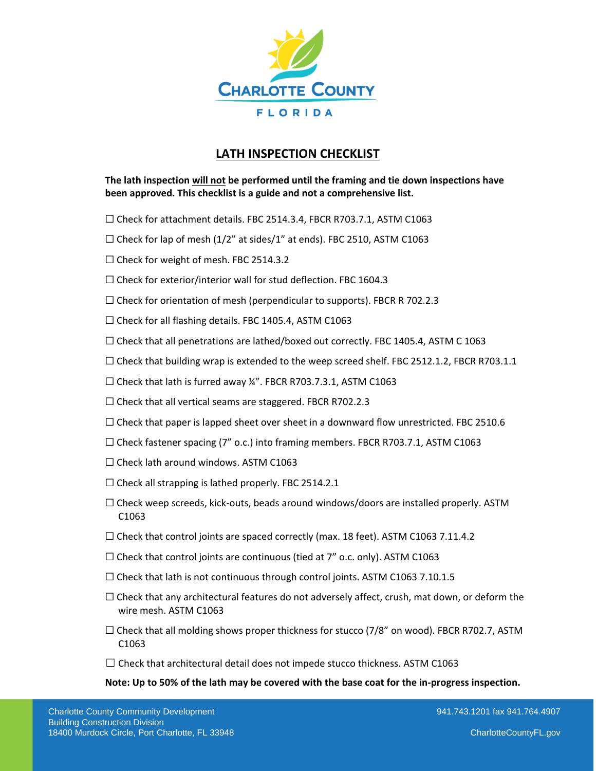

## **LATH INSPECTION CHECKLIST**

**The lath inspection will not be performed until the framing and tie down inspections have been approved. This checklist is a guide and not a comprehensive list.** 

- ☐ Check for attachment details. FBC 2514.3.4, FBCR R703.7.1, ASTM C1063
- $\Box$  Check for lap of mesh (1/2" at sides/1" at ends). FBC 2510, ASTM C1063
- ☐ Check for weight of mesh. FBC 2514.3.2
- $\Box$  Check for exterior/interior wall for stud deflection. FBC 1604.3
- $\Box$  Check for orientation of mesh (perpendicular to supports). FBCR R 702.2.3
- ☐ Check for all flashing details. FBC 1405.4, ASTM C1063
- $\Box$  Check that all penetrations are lathed/boxed out correctly. FBC 1405.4, ASTM C 1063
- $\Box$  Check that building wrap is extended to the weep screed shelf. FBC 2512.1.2, FBCR R703.1.1
- $\Box$  Check that lath is furred away ¼". FBCR R703.7.3.1, ASTM C1063
- □ Check that all vertical seams are staggered. FBCR R702.2.3
- $\Box$  Check that paper is lapped sheet over sheet in a downward flow unrestricted. FBC 2510.6
- $\Box$  Check fastener spacing (7" o.c.) into framing members. FBCR R703.7.1, ASTM C1063
- $\Box$  Check lath around windows. ASTM C1063
- $\Box$  Check all strapping is lathed properly. FBC 2514.2.1
- $\Box$  Check weep screeds, kick-outs, beads around windows/doors are installed properly. ASTM C1063
- $\Box$  Check that control joints are spaced correctly (max. 18 feet). ASTM C1063 7.11.4.2
- $\Box$  Check that control joints are continuous (tied at 7" o.c. only). ASTM C1063
- □ Check that lath is not continuous through control joints. ASTM C1063 7.10.1.5
- $\Box$  Check that any architectural features do not adversely affect, crush, mat down, or deform the wire mesh. ASTM C1063
- $\Box$  Check that all molding shows proper thickness for stucco (7/8" on wood). FBCR R702.7, ASTM C1063
- $\Box$  Check that architectural detail does not impede stucco thickness. ASTM C1063

## **Note: Up to 50% of the lath may be covered with the base coat for the in-progress inspection.**